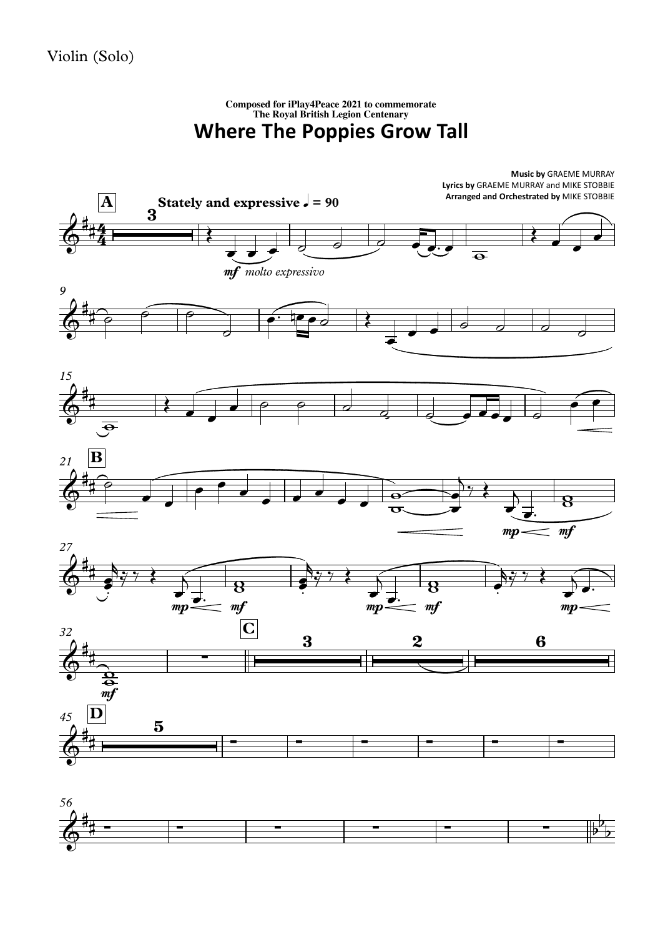## **Where The Poppies Grow Tall Composed for iPlay4Peace <sup>2021</sup> to commemorate The Royal British Legion Centenary**